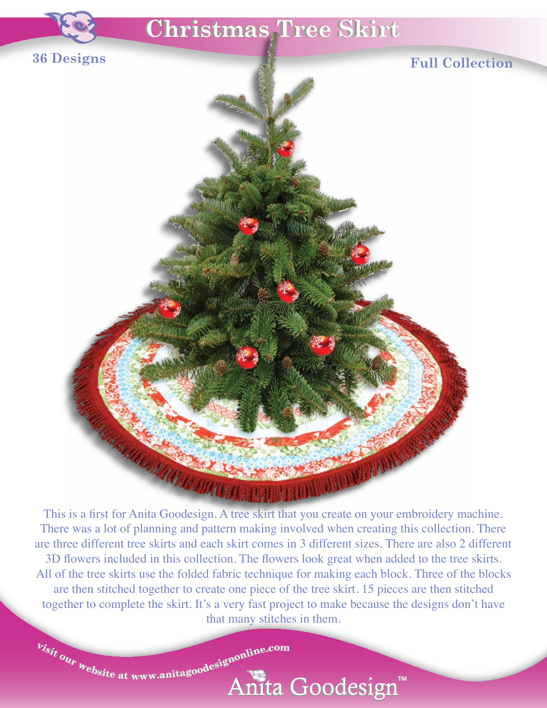

This is a first for Anita Goodesign. A tree skirt that you create on your embroidery machine. There was a lot of planning and pattern making involved when creating this collection. There are three different tree skirts and each skirt comes in 3 different sizes. There are also 2 different 3D flowers included in this collection. The flowers look great when added to the tree skirts. All of the tree skirts use the folded fabric technique for making each block. Three of the blocks are then stitched together to create one piece of the tree skirt. 15 pieces are then stitched together to complete the skirt. It's a very fast project to make because the designs don't have that many stitches in them.

Anita Goodesign™

 $v_{isit}$  our  $v_{\text{e}bsite$  at www.anitagoodesignonline.com